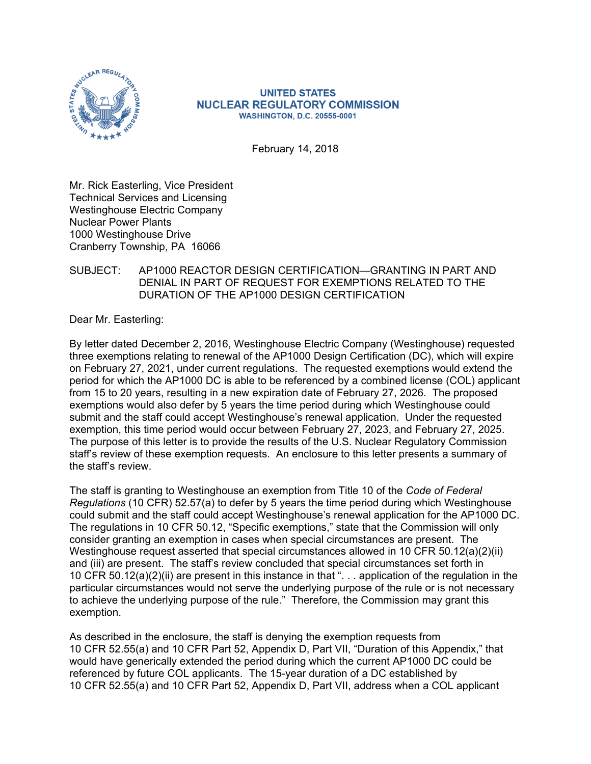

### **UNITED STATES NUCLEAR REGULATORY COMMISSION WASHINGTON, D.C. 20555-0001**

February 14, 2018

Mr. Rick Easterling, Vice President Technical Services and Licensing Westinghouse Electric Company Nuclear Power Plants 1000 Westinghouse Drive Cranberry Township, PA 16066

## SUBJECT: AP1000 REACTOR DESIGN CERTIFICATION—GRANTING IN PART AND DENIAL IN PART OF REQUEST FOR EXEMPTIONS RELATED TO THE DURATION OF THE AP1000 DESIGN CERTIFICATION

Dear Mr. Easterling:

By letter dated December 2, 2016, Westinghouse Electric Company (Westinghouse) requested three exemptions relating to renewal of the AP1000 Design Certification (DC), which will expire on February 27, 2021, under current regulations. The requested exemptions would extend the period for which the AP1000 DC is able to be referenced by a combined license (COL) applicant from 15 to 20 years, resulting in a new expiration date of February 27, 2026. The proposed exemptions would also defer by 5 years the time period during which Westinghouse could submit and the staff could accept Westinghouse's renewal application. Under the requested exemption, this time period would occur between February 27, 2023, and February 27, 2025. The purpose of this letter is to provide the results of the U.S. Nuclear Regulatory Commission staff's review of these exemption requests. An enclosure to this letter presents a summary of the staff's review.

The staff is granting to Westinghouse an exemption from Title 10 of the *Code of Federal Regulations* (10 CFR) 52.57(a) to defer by 5 years the time period during which Westinghouse could submit and the staff could accept Westinghouse's renewal application for the AP1000 DC. The regulations in 10 CFR 50.12, "Specific exemptions," state that the Commission will only consider granting an exemption in cases when special circumstances are present. The Westinghouse request asserted that special circumstances allowed in 10 CFR 50.12(a)(2)(ii) and (iii) are present. The staff's review concluded that special circumstances set forth in 10 CFR 50.12(a)(2)(ii) are present in this instance in that ". . . application of the regulation in the particular circumstances would not serve the underlying purpose of the rule or is not necessary to achieve the underlying purpose of the rule." Therefore, the Commission may grant this exemption.

As described in the enclosure, the staff is denying the exemption requests from 10 CFR 52.55(a) and 10 CFR Part 52, Appendix D, Part VII, "Duration of this Appendix," that would have generically extended the period during which the current AP1000 DC could be referenced by future COL applicants. The 15-year duration of a DC established by 10 CFR 52.55(a) and 10 CFR Part 52, Appendix D, Part VII, address when a COL applicant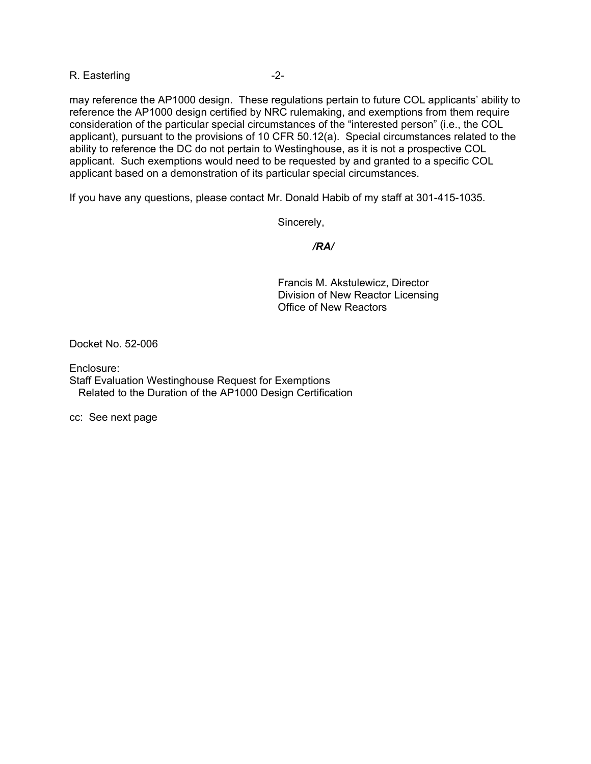R. Easterling -2-

may reference the AP1000 design. These regulations pertain to future COL applicants' ability to reference the AP1000 design certified by NRC rulemaking, and exemptions from them require consideration of the particular special circumstances of the "interested person" (i.e., the COL applicant), pursuant to the provisions of 10 CFR 50.12(a). Special circumstances related to the ability to reference the DC do not pertain to Westinghouse, as it is not a prospective COL applicant. Such exemptions would need to be requested by and granted to a specific COL applicant based on a demonstration of its particular special circumstances.

If you have any questions, please contact Mr. Donald Habib of my staff at 301-415-1035.

Sincerely,

 */RA/* 

Francis M. Akstulewicz, Director Division of New Reactor Licensing Office of New Reactors

Docket No. 52-006

Enclosure:

Staff Evaluation Westinghouse Request for Exemptions Related to the Duration of the AP1000 Design Certification

cc: See next page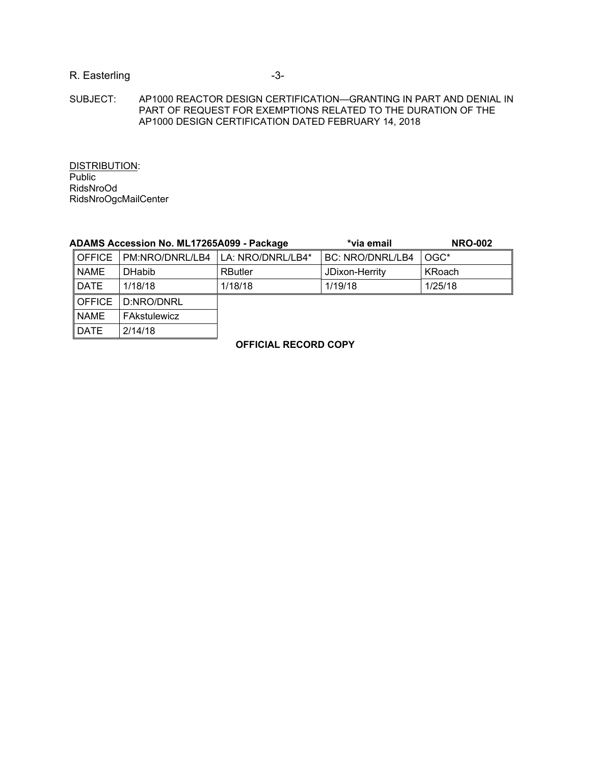# R. Easterling  $-3-$

#### SUBJECT: AP1000 REACTOR DESIGN CERTIFICATION—GRANTING IN PART AND DENIAL IN PART OF REQUEST FOR EXEMPTIONS RELATED TO THE DURATION OF THE AP1000 DESIGN CERTIFICATION DATED FEBRUARY 14, 2018

DISTRIBUTION: **Public** RidsNroOd RidsNroOgcMailCenter

| ADAMS Accession No. ML17265A099 - Package |                 |                   | *via email              | <b>NRO-002</b> |
|-------------------------------------------|-----------------|-------------------|-------------------------|----------------|
| <b>OFFICE</b>                             | PM:NRO/DNRL/LB4 | LA: NRO/DNRL/LB4* | <b>BC: NRO/DNRL/LB4</b> | OGC*           |
| <b>NAME</b>                               | <b>DHabib</b>   | <b>RButler</b>    | JDixon-Herrity          | KRoach         |
| DATE                                      | 1/18/18         | 1/18/18           | 1/19/18                 | 1/25/18        |
| $\overline{\phantom{a}}$ OFFICE           | D:NRO/DNRL      |                   |                         |                |
| <b>NAME</b>                               | FAkstulewicz    |                   |                         |                |
| <b>DATE</b>                               | 2/14/18         |                   |                         |                |

### **OFFICIAL RECORD COPY**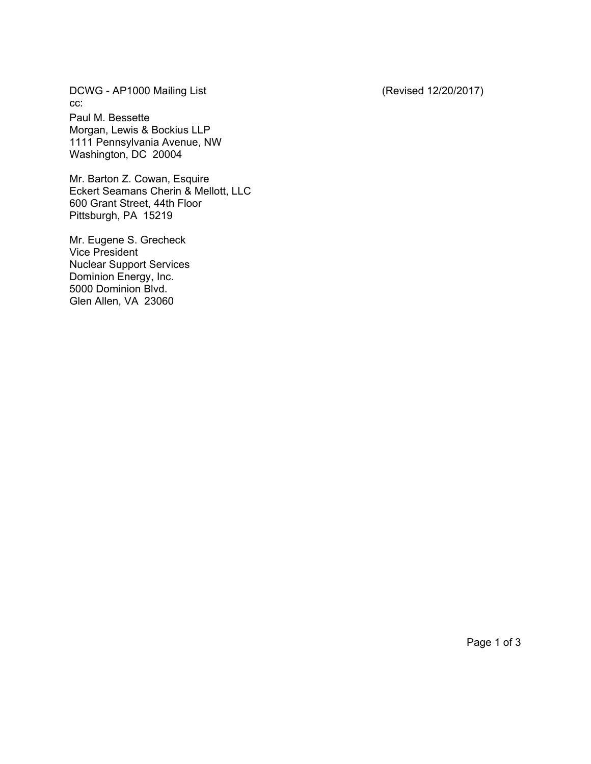DCWG - AP1000 Mailing List (Revised 12/20/2017) cc:

Paul M. Bessette Morgan, Lewis & Bockius LLP 1111 Pennsylvania Avenue, NW Washington, DC 20004

Mr. Barton Z. Cowan, Esquire Eckert Seamans Cherin & Mellott, LLC 600 Grant Street, 44th Floor Pittsburgh, PA 15219

Mr. Eugene S. Grecheck Vice President Nuclear Support Services Dominion Energy, Inc. 5000 Dominion Blvd. Glen Allen, VA 23060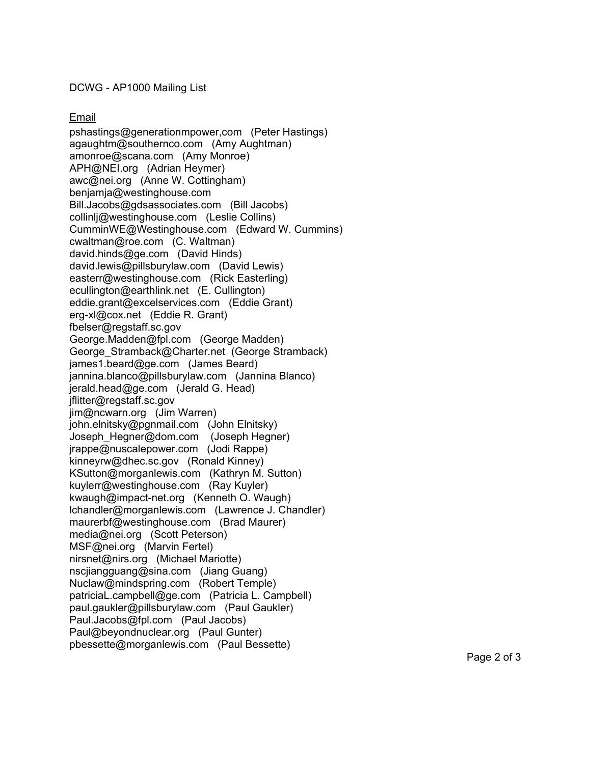DCWG - AP1000 Mailing List

Email

pshastings@generationmpower,com (Peter Hastings) agaughtm@southernco.com (Amy Aughtman) amonroe@scana.com (Amy Monroe) APH@NEI.org (Adrian Heymer) awc@nei.org (Anne W. Cottingham) benjamja@westinghouse.com Bill.Jacobs@gdsassociates.com (Bill Jacobs) collinlj@westinghouse.com (Leslie Collins) CumminWE@Westinghouse.com (Edward W. Cummins) cwaltman@roe.com (C. Waltman) david.hinds@ge.com (David Hinds) david.lewis@pillsburylaw.com (David Lewis) easterr@westinghouse.com (Rick Easterling) ecullington@earthlink.net (E. Cullington) eddie.grant@excelservices.com (Eddie Grant) erg-xl@cox.net (Eddie R. Grant) fbelser@regstaff.sc.gov George.Madden@fpl.com (George Madden) George\_Stramback@Charter.net (George Stramback) james1.beard@ge.com (James Beard) jannina.blanco@pillsburylaw.com (Jannina Blanco) jerald.head@ge.com (Jerald G. Head) jflitter@regstaff.sc.gov jim@ncwarn.org (Jim Warren) john.elnitsky@pgnmail.com (John Elnitsky) Joseph\_Hegner@dom.com (Joseph Hegner) jrappe@nuscalepower.com (Jodi Rappe) kinneyrw@dhec.sc.gov (Ronald Kinney) KSutton@morganlewis.com (Kathryn M. Sutton) kuylerr@westinghouse.com (Ray Kuyler) kwaugh@impact-net.org (Kenneth O. Waugh) lchandler@morganlewis.com (Lawrence J. Chandler) maurerbf@westinghouse.com (Brad Maurer) media@nei.org (Scott Peterson) MSF@nei.org (Marvin Fertel) nirsnet@nirs.org (Michael Mariotte) nscjiangguang@sina.com (Jiang Guang) Nuclaw@mindspring.com (Robert Temple) patriciaL.campbell@ge.com (Patricia L. Campbell) paul.gaukler@pillsburylaw.com (Paul Gaukler) Paul.Jacobs@fpl.com (Paul Jacobs) Paul@beyondnuclear.org (Paul Gunter) pbessette@morganlewis.com (Paul Bessette)